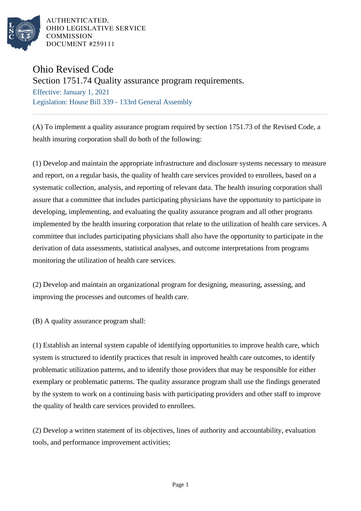

AUTHENTICATED. OHIO LEGISLATIVE SERVICE **COMMISSION DOCUMENT #259111** 

## Ohio Revised Code

Section 1751.74 Quality assurance program requirements.

Effective: January 1, 2021 Legislation: House Bill 339 - 133rd General Assembly

(A) To implement a quality assurance program required by section 1751.73 of the Revised Code, a health insuring corporation shall do both of the following:

(1) Develop and maintain the appropriate infrastructure and disclosure systems necessary to measure and report, on a regular basis, the quality of health care services provided to enrollees, based on a systematic collection, analysis, and reporting of relevant data. The health insuring corporation shall assure that a committee that includes participating physicians have the opportunity to participate in developing, implementing, and evaluating the quality assurance program and all other programs implemented by the health insuring corporation that relate to the utilization of health care services. A committee that includes participating physicians shall also have the opportunity to participate in the derivation of data assessments, statistical analyses, and outcome interpretations from programs monitoring the utilization of health care services.

(2) Develop and maintain an organizational program for designing, measuring, assessing, and improving the processes and outcomes of health care.

(B) A quality assurance program shall:

(1) Establish an internal system capable of identifying opportunities to improve health care, which system is structured to identify practices that result in improved health care outcomes, to identify problematic utilization patterns, and to identify those providers that may be responsible for either exemplary or problematic patterns. The quality assurance program shall use the findings generated by the system to work on a continuing basis with participating providers and other staff to improve the quality of health care services provided to enrollees.

(2) Develop a written statement of its objectives, lines of authority and accountability, evaluation tools, and performance improvement activities;